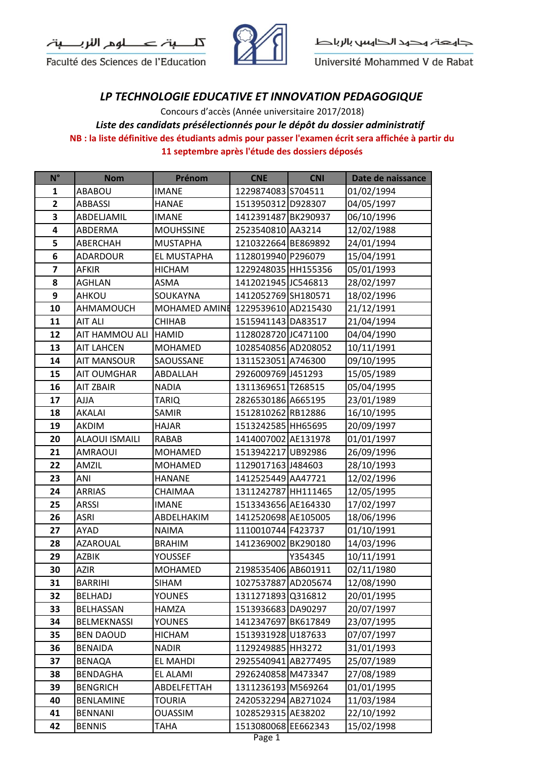



Université Mohammed V de Rabat

## *LP TECHNOLOGIE EDUCATIVE ET INNOVATION PEDAGOGIQUE*

**NB : la liste définitive des étudiants admis pour passer l'examen écrit sera affichée à partir du 11 septembre après l'étude des dossiers déposés** Concours d'accès (Année universitaire 2017/2018) *Liste des candidats présélectionnés pour le dépôt du dossier administratif* 

| $N^{\circ}$             | <b>Nom</b>            | Prénom                            | <b>CNE</b>          | <b>CNI</b> | Date de naissance |
|-------------------------|-----------------------|-----------------------------------|---------------------|------------|-------------------|
| 1                       | ABABOU                | <b>IMANE</b>                      | 1229874083 S704511  |            | 01/02/1994        |
| $\overline{\mathbf{2}}$ | <b>ABBASSI</b>        | <b>HANAE</b>                      | 1513950312 D928307  |            | 04/05/1997        |
| 3                       | ABDELJAMIL            | <b>IMANE</b>                      | 1412391487 BK290937 |            | 06/10/1996        |
| 4                       | ABDERMA               | <b>MOUHSSINE</b>                  | 2523540810 AA3214   |            | 12/02/1988        |
| 5                       | ABERCHAH              | <b>MUSTAPHA</b>                   | 1210322664 BE869892 |            | 24/01/1994        |
| 6                       | ADARDOUR              | EL MUSTAPHA                       | 1128019940 P296079  |            | 15/04/1991        |
| $\overline{\mathbf{z}}$ | <b>AFKIR</b>          | <b>HICHAM</b>                     | 1229248035 HH155356 |            | 05/01/1993        |
| 8                       | <b>AGHLAN</b>         | ASMA                              | 1412021945 JC546813 |            | 28/02/1997        |
| 9                       | AHKOU                 | SOUKAYNA                          | 1412052769 SH180571 |            | 18/02/1996        |
| 10                      | AHMAMOUCH             | MOHAMED AMINE 1229539610 AD215430 |                     |            | 21/12/1991        |
| 11                      | <b>AIT ALI</b>        | <b>CHIHAB</b>                     | 1515941143 DA83517  |            | 21/04/1994        |
| 12                      | AIT HAMMOU ALI        | <b>HAMID</b>                      | 1128028720 JC471100 |            | 04/04/1990        |
| 13                      | <b>AIT LAHCEN</b>     | <b>MOHAMED</b>                    | 1028540856AD208052  |            | 10/11/1991        |
| 14                      | <b>AIT MANSOUR</b>    | SAOUSSANE                         | 1311523051 A746300  |            | 09/10/1995        |
| 15                      | <b>AIT OUMGHAR</b>    | ABDALLAH                          | 2926009769 J451293  |            | 15/05/1989        |
| 16                      | <b>AIT ZBAIR</b>      | <b>NADIA</b>                      | 1311369651 T268515  |            | 05/04/1995        |
| 17                      | <b>AJJA</b>           | <b>TARIQ</b>                      | 2826530186 A665195  |            | 23/01/1989        |
| 18                      | AKALAI                | <b>SAMIR</b>                      | 1512810262 RB12886  |            | 16/10/1995        |
| 19                      | <b>AKDIM</b>          | <b>HAJAR</b>                      | 1513242585 HH65695  |            | 20/09/1997        |
| 20                      | <b>ALAOUI ISMAILI</b> | <b>RABAB</b>                      | 1414007002 AE131978 |            | 01/01/1997        |
| 21                      | AMRAOUI               | <b>MOHAMED</b>                    | 1513942217 UB92986  |            | 26/09/1996        |
| 22                      | AMZIL                 | <b>MOHAMED</b>                    | 1129017163 J484603  |            | 28/10/1993        |
| 23                      | ANI                   | HANANE                            | 1412525449 AA47721  |            | 12/02/1996        |
| 24                      | <b>ARRIAS</b>         | CHAIMAA                           | 1311242787 HH111465 |            | 12/05/1995        |
| 25                      | <b>ARSSI</b>          | <b>IMANE</b>                      | 1513343656 AE164330 |            | 17/02/1997        |
| 26                      | <b>ASRI</b>           | ABDELHAKIM                        | 1412520698 AE105005 |            | 18/06/1996        |
| 27                      | AYAD                  | <b>NAIMA</b>                      | 1110010744 F423737  |            | 01/10/1991        |
| 28                      | <b>AZAROUAL</b>       | <b>BRAHIM</b>                     | 1412369002 BK290180 |            | 14/03/1996        |
| 29                      | <b>AZBIK</b>          | YOUSSEF                           |                     | Y354345    | 10/11/1991        |
| 30                      | <b>AZIR</b>           | <b>MOHAMED</b>                    | 2198535406 AB601911 |            | 02/11/1980        |
| 31                      | <b>BARRIHI</b>        | SIHAM                             | 1027537887 AD205674 |            | 12/08/1990        |
| 32                      | BELHADJ               | <b>YOUNES</b>                     | 1311271893 Q316812  |            | 20/01/1995        |
| 33                      | BELHASSAN             | HAMZA                             | 1513936683 DA90297  |            | 20/07/1997        |
| 34                      | <b>BELMEKNASSI</b>    | <b>YOUNES</b>                     | 1412347697 BK617849 |            | 23/07/1995        |
| 35                      | <b>BEN DAOUD</b>      | HICHAM                            | 1513931928 U187633  |            | 07/07/1997        |
| 36                      | <b>BENAIDA</b>        | <b>NADIR</b>                      | 1129249885 HH3272   |            | 31/01/1993        |
| 37                      | BENAQA                | EL MAHDI                          | 2925540941 AB277495 |            | 25/07/1989        |
| 38                      | <b>BENDAGHA</b>       | EL ALAMI                          | 2926240858 M473347  |            | 27/08/1989        |
| 39                      | <b>BENGRICH</b>       | ABDELFETTAH                       | 1311236193 M569264  |            | 01/01/1995        |
| 40                      | <b>BENLAMINE</b>      | TOURIA                            | 2420532294 AB271024 |            | 11/03/1984        |
| 41                      | <b>BENNANI</b>        | <b>OUASSIM</b>                    | 1028529315 AE38202  |            | 22/10/1992        |
| 42                      | <b>BENNIS</b>         | TAHA                              | 1513080068 EE662343 |            | 15/02/1998        |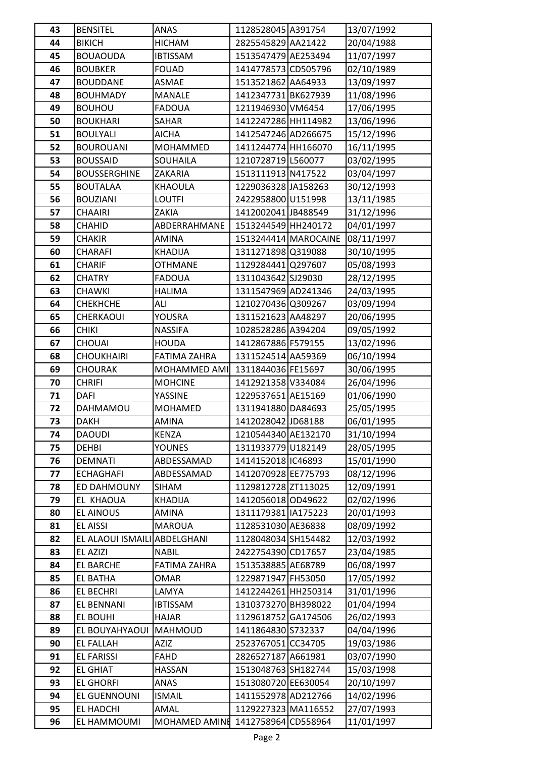| 43       | <b>BENSITEL</b>                       | ANAS                  | 1128528045 A391754                         |                      | 13/07/1992               |
|----------|---------------------------------------|-----------------------|--------------------------------------------|----------------------|--------------------------|
| 44       | <b>BIKICH</b>                         | <b>HICHAM</b>         | 2825545829 AA21422                         |                      | 20/04/1988               |
| 45       | <b>BOUAOUDA</b>                       | <b>IBTISSAM</b>       | 1513547479 AE253494                        |                      | 11/07/1997               |
| 46       | <b>BOUBKER</b>                        | <b>FOUAD</b>          | 1414778573 CD505796                        |                      | 02/10/1989               |
| 47       | <b>BOUDDANE</b>                       | ASMAE                 | 1513521862 AA64933                         |                      | 13/09/1997               |
| 48       | <b>BOUHMADY</b>                       | <b>MANALE</b>         | 1412347731 BK627939                        |                      | 11/08/1996               |
| 49       | <b>BOUHOU</b>                         | <b>FADOUA</b>         | 1211946930 VM6454                          |                      | 17/06/1995               |
| 50       | <b>BOUKHARI</b>                       | SAHAR                 | 1412247286 HH114982                        |                      | 13/06/1996               |
| 51       | <b>BOULYALI</b>                       | <b>AICHA</b>          | 1412547246 AD266675                        |                      | 15/12/1996               |
| 52       | <b>BOUROUANI</b>                      | <b>MOHAMMED</b>       | 1411244774 HH166070                        |                      | 16/11/1995               |
| 53       | <b>BOUSSAID</b>                       | SOUHAILA              | 1210728719 L560077                         |                      | 03/02/1995               |
| 54       | <b>BOUSSERGHINE</b>                   | ZAKARIA               | 1513111913 N417522                         |                      | 03/04/1997               |
| 55       | <b>BOUTALAA</b>                       | <b>KHAOULA</b>        | 1229036328 JA158263                        |                      | 30/12/1993               |
| 56       | <b>BOUZIANI</b>                       | <b>LOUTFI</b>         | 2422958800 U151998                         |                      | 13/11/1985               |
| 57       | <b>CHAAIRI</b>                        | ZAKIA                 | 1412002041 JB488549                        |                      | 31/12/1996               |
| 58       | <b>CHAHID</b>                         | ABDERRAHMANE          | 1513244549 HH240172                        |                      | 04/01/1997               |
| 59       | CHAKIR                                | AMINA                 |                                            | 1513244414 MAROCAINE | 08/11/1997               |
| 60       | <b>CHARAFI</b>                        | <b>KHADIJA</b>        | 1311271898 Q319088                         |                      | 30/10/1995               |
| 61       | <b>CHARIF</b>                         | <b>OTHMANE</b>        | 1129284441 Q297607                         |                      | 05/08/1993               |
| 62       | <b>CHATRY</b>                         | <b>FADOUA</b>         | 1311043642 SJ29030                         |                      | 28/12/1995               |
| 63       | <b>CHAWKI</b>                         | <b>HALIMA</b>         | 1311547969 AD241346                        |                      | 24/03/1995               |
| 64       | <b>CHEKHCHE</b>                       | ALI                   | 1210270436 Q309267                         |                      | 03/09/1994               |
| 65       | CHERKAOUI                             | YOUSRA                | 1311521623 AA48297                         |                      | 20/06/1995               |
| 66       | <b>CHIKI</b>                          | <b>NASSIFA</b>        | 1028528286 A394204                         |                      | 09/05/1992               |
| 67       | <b>CHOUAI</b>                         | <b>HOUDA</b>          | 1412867886 F579155                         |                      | 13/02/1996               |
| 68       | <b>CHOUKHAIRI</b>                     | <b>FATIMA ZAHRA</b>   | 1311524514 AA59369                         |                      | 06/10/1994               |
| 69       | <b>CHOURAK</b>                        | MOHAMMED AMI          | 1311844036 FE15697                         |                      | 30/06/1995               |
| 70       | <b>CHRIFI</b>                         | <b>MOHCINE</b>        | 1412921358 V334084                         |                      | 26/04/1996               |
| 71       | DAFI                                  | YASSINE               | 1229537651 AE15169                         |                      | 01/06/1990               |
| 72       | DAHMAMOU                              | <b>MOHAMED</b>        | 1311941880 DA84693                         |                      | 25/05/1995               |
| 73       | <b>DAKH</b>                           | AMINA                 | 1412028042 JD68188                         |                      | 06/01/1995               |
| 74       | <b>DAOUDI</b>                         | <b>KENZA</b>          | 1210544340 AE132170                        |                      | 31/10/1994               |
| 75       | <b>DEHBI</b>                          | <b>YOUNES</b>         | 1311933779 U182149                         |                      | 28/05/1995               |
| 76       | <b>DEMNATI</b>                        | ABDESSAMAD            | 1414152018 IC46893                         |                      | 15/01/1990               |
| 77       | <b>ECHAGHAFI</b>                      | ABDESSAMAD            | 1412070928 EE775793                        |                      | 08/12/1996               |
| 78       | ED DAHMOUNY                           | SIHAM                 | 1129812728 ZT113025                        |                      | 12/09/1991               |
| 79       | EL KHAOUA                             | <b>KHADIJA</b>        | 1412056018 OD49622                         |                      | 02/02/1996               |
| 80       | EL AINOUS                             | AMINA                 | 1311179381   IA175223                      |                      | 20/01/1993               |
| 81       | <b>EL AISSI</b>                       | <b>MAROUA</b>         | 1128531030 AE36838                         |                      | 08/09/1992               |
| 82       | EL ALAOUI ISMAILI ABDELGHANI          |                       | 1128048034 SH154482                        |                      | 12/03/1992               |
| 83       | EL AZIZI                              | <b>NABIL</b>          | 2422754390 CD17657                         |                      | 23/04/1985               |
| 84       | <b>EL BARCHE</b>                      | <b>FATIMA ZAHRA</b>   | 1513538885 AE68789                         |                      | 06/08/1997               |
| 85       | <b>EL BATHA</b>                       | <b>OMAR</b>           | 1229871947 FH53050                         |                      | 17/05/1992               |
| 86       | <b>EL BECHRI</b>                      | LAMYA                 | 1412244261 HH250314                        |                      | 31/01/1996               |
| 87       | EL BENNANI                            | <b>IBTISSAM</b>       | 1310373270 BH398022                        |                      | 01/04/1994               |
| 88<br>89 | EL BOUHI<br>EL BOUYAHYAOUI MAHMOUD    | <b>HAJAR</b>          | 1129618752 GA174506                        |                      | 26/02/1993<br>04/04/1996 |
|          |                                       |                       | 1411864830 S732337<br>2523767051 CC34705   |                      | 19/03/1986               |
| 90<br>91 | <b>EL FALLAH</b><br><b>EL FARISSI</b> | AZIZ<br><b>FAHD</b>   | 2826527187 A661981                         |                      | 03/07/1990               |
| 92       | <b>EL GHIAT</b>                       | <b>HASSAN</b>         | 1513048763 SH182744                        |                      | 15/03/1998               |
| 93       |                                       |                       |                                            |                      |                          |
|          |                                       |                       |                                            |                      |                          |
|          | <b>EL GHORFI</b>                      | ANAS                  | 1513080720 EE630054                        |                      | 20/10/1997               |
| 94<br>95 | EL GUENNOUNI<br>EL HADCHI             | <b>ISMAIL</b><br>AMAL | 1411552978 AD212766<br>1129227323 MA116552 |                      | 14/02/1996<br>27/07/1993 |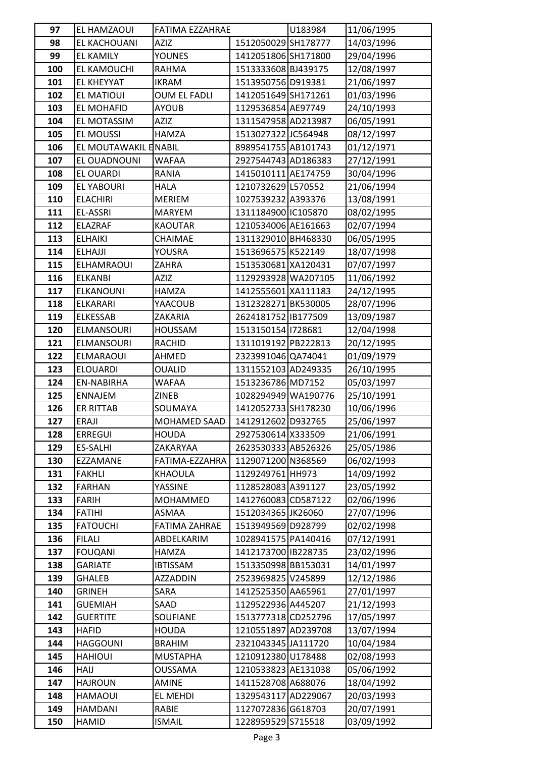| 97         | EL HAMZAOUI               | FATIMA EZZAHRAE      |                                           | U183984 | 11/06/1995               |
|------------|---------------------------|----------------------|-------------------------------------------|---------|--------------------------|
| 98         | EL KACHOUANI              | <b>AZIZ</b>          | 1512050029 SH178777                       |         | 14/03/1996               |
| 99         | <b>EL KAMILY</b>          | YOUNES               | 1412051806 SH171800                       |         | 29/04/1996               |
| 100        | EL KAMOUCHI               | RAHMA                | 1513333608 BJ439175                       |         | 12/08/1997               |
| 101        | <b>EL KHEYYAT</b>         | <b>IKRAM</b>         | 1513950756 D919381                        |         | 21/06/1997               |
| 102        | EL MATIOUI                | <b>OUM EL FADLI</b>  | 1412051649 SH171261                       |         | 01/03/1996               |
| 103        | EL MOHAFID                | <b>AYOUB</b>         | 1129536854 AE97749                        |         | 24/10/1993               |
| 104        | EL MOTASSIM               | <b>AZIZ</b>          | 1311547958 AD213987                       |         | 06/05/1991               |
| 105        | <b>EL MOUSSI</b>          | <b>HAMZA</b>         | 1513027322 JC564948                       |         | 08/12/1997               |
| 106        | EL MOUTAWAKIL ENABIL      |                      | 8989541755 AB101743                       |         | 01/12/1971               |
| 107        | EL OUADNOUNI              | <b>WAFAA</b>         | 2927544743 AD186383                       |         | 27/12/1991               |
| 108        | EL OUARDI                 | RANIA                | 1415010111 AE174759                       |         | 30/04/1996               |
| 109        | <b>EL YABOURI</b>         | <b>HALA</b>          | 1210732629 L570552                        |         | 21/06/1994               |
| 110        | <b>ELACHIRI</b>           | <b>MERIEM</b>        | 1027539232 A393376                        |         | 13/08/1991               |
| 111        | EL-ASSRI                  | <b>MARYEM</b>        | 1311184900 IC105870                       |         | 08/02/1995               |
| 112        | <b>ELAZRAF</b>            | <b>KAOUTAR</b>       | 1210534006 AE161663                       |         | 02/07/1994               |
| 113        | <b>ELHAIKI</b>            | CHAIMAE              | 1311329010 BH468330                       |         | 06/05/1995               |
| 114        | <b>ELHAJJI</b>            | <b>YOUSRA</b>        | 1513696575 K522149                        |         | 18/07/1998               |
| 115        | ELHAMRAOUI                | ZAHRA                | 1513530681 XA120431                       |         | 07/07/1997               |
| 116        | <b>ELKANBI</b>            | <b>AZIZ</b>          | 1129293928 WA207105                       |         | 11/06/1992               |
| 117        | <b>ELKANOUNI</b>          | HAMZA                | 1412555601 XA111183                       |         | 24/12/1995               |
| 118        | ELKARARI                  | YAACOUB              | 1312328271 BK530005                       |         | 28/07/1996               |
| 119        | <b>ELKESSAB</b>           | ZAKARIA              | 2624181752 B177509                        |         | 13/09/1987               |
| 120        | ELMANSOURI                | HOUSSAM              | 1513150154 1728681                        |         | 12/04/1998               |
| 121        | ELMANSOURI                | RACHID               | 1311019192 PB222813                       |         | 20/12/1995               |
| 122        | <b>ELMARAOUI</b>          | AHMED                | 2323991046 QA74041                        |         | 01/09/1979               |
| 123        | <b>ELOUARDI</b>           | <b>OUALID</b>        | 1311552103 AD249335                       |         | 26/10/1995               |
| 124        | EN-NABIRHA                | WAFAA                | 1513236786 MD7152                         |         | 05/03/1997               |
| 125        | <b>ENNAJEM</b>            | <b>ZINEB</b>         | 1028294949 WA190776                       |         | 25/10/1991               |
| 126        | <b>ER RITTAB</b>          | SOUMAYA              | 1412052733 SH178230                       |         | 10/06/1996               |
| 127        | <b>ERAJI</b>              | MOHAMED SAAD         | 1412912602 D932765                        |         | 25/06/1997               |
| 128        | <b>ERREGUI</b>            | <b>HOUDA</b>         | 2927530614 X333509                        |         | 21/06/1991               |
| 129        | <b>ES-SALHI</b>           | ZAKARYAA             | 2623530333 AB526326                       |         | 25/05/1986               |
| 130        | EZZAMANE                  | FATIMA-EZZAHRA       | 1129071200 N368569                        |         | 06/02/1993               |
| 131        | <b>FAKHLI</b>             | <b>KHAOULA</b>       | 1129249761 HH973                          |         | 14/09/1992               |
| 132        | <b>FARHAN</b>             | YASSINE              | 1128528083 A391127                        |         | 23/05/1992               |
| 133        | <b>FARIH</b>              | MOHAMMED             | 1412760083 CD587122                       |         | 02/06/1996               |
| 134        | <b>FATIHI</b>             | ASMAA                | 1512034365 JK26060                        |         | 27/07/1996               |
| 135        | <b>FATOUCHI</b>           | <b>FATIMA ZAHRAE</b> | 1513949569 D928799                        |         | 02/02/1998               |
| 136        | <b>FILALI</b>             | ABDELKARIM           | 1028941575 PA140416                       |         | 07/12/1991               |
| 137        | <b>FOUQANI</b>            | HAMZA                | 1412173700 B228735                        |         | 23/02/1996               |
| 138        | <b>GARIATE</b>            | <b>IBTISSAM</b>      | 1513350998BB153031                        |         | 14/01/1997               |
| 139        | <b>GHALEB</b>             | AZZADDIN             | 2523969825 V245899                        |         | 12/12/1986               |
| 140        | <b>GRINEH</b>             | SARA                 | 1412525350 AA65961                        |         | 27/01/1997               |
| 141        | <b>GUEMIAH</b>            | SAAD                 | 1129522936 A445207                        |         | 21/12/1993               |
| 142        | <b>GUERTITE</b>           | SOUFIANE             | 1513777318 CD252796                       |         | 17/05/1997               |
| 143        | <b>HAFID</b>              | <b>HOUDA</b>         | 1210551897 AD239708                       |         | 13/07/1994               |
| 144        | <b>HAGGOUNI</b>           | <b>BRAHIM</b>        | 2321043345 JA111720                       |         | 10/04/1984               |
| 145        | <b>HAHIOUI</b>            | <b>MUSTAPHA</b>      | 1210912380 U178488                        |         | 02/08/1993               |
| 146        | HAIJ                      | <b>OUSSAMA</b>       | 1210533823 AE131038                       |         | 05/06/1992               |
| 147<br>148 | <b>HAJROUN</b><br>HAMAOUI | AMINE<br>EL MEHDI    | 1411528708 A688076<br>1329543117 AD229067 |         | 18/04/1992<br>20/03/1993 |
|            |                           |                      |                                           |         |                          |
| 149        | HAMDANI                   | RABIE                | 1127072836 G618703                        |         | 20/07/1991               |
| 150        | HAMID                     | <b>ISMAIL</b>        | 1228959529 S715518                        |         | 03/09/1992               |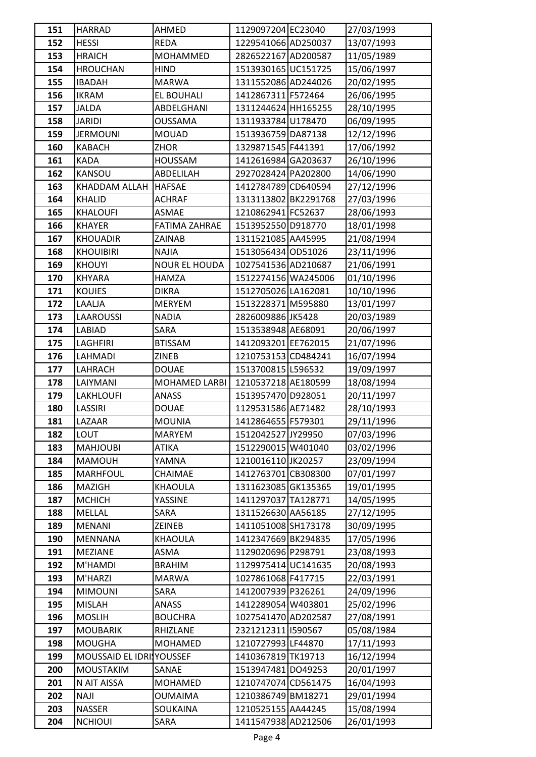| 151        | <b>HARRAD</b>                    | AHMED                      | 1129097204 EC23040                       | 27/03/1993               |
|------------|----------------------------------|----------------------------|------------------------------------------|--------------------------|
| 152        | <b>HESSI</b>                     | <b>REDA</b>                | 1229541066 AD250037                      | 13/07/1993               |
| 153        | <b>HRAICH</b>                    | <b>MOHAMMED</b>            | 2826522167 AD200587                      | 11/05/1989               |
| 154        | <b>HROUCHAN</b>                  | <b>HIND</b>                | 1513930165 UC151725                      | 15/06/1997               |
| 155        | <b>IBADAH</b>                    | <b>MARWA</b>               | 1311552086 AD244026                      | 20/02/1995               |
| 156        | <b>IKRAM</b>                     | EL BOUHALI                 | 1412867311 F572464                       | 26/06/1995               |
| 157        | <b>JALDA</b>                     | ABDELGHANI                 | 1311244624 HH165255                      | 28/10/1995               |
| 158        | <b>JARIDI</b>                    | <b>OUSSAMA</b>             | 1311933784 U178470                       | 06/09/1995               |
| 159        | <b>JERMOUNI</b>                  | <b>MOUAD</b>               | 1513936759 DA87138                       | 12/12/1996               |
| 160        | <b>KABACH</b>                    | ZHOR                       | 1329871545 F441391                       | 17/06/1992               |
| 161        | <b>KADA</b>                      | <b>HOUSSAM</b>             | 1412616984 GA203637                      | 26/10/1996               |
| 162        | KANSOU                           | ABDELILAH                  | 2927028424 PA202800                      | 14/06/1990               |
| 163        | KHADDAM ALLAH                    | <b>HAFSAE</b>              | 1412784789 CD640594                      | 27/12/1996               |
| 164        | <b>KHALID</b>                    | <b>ACHRAF</b>              | 1313113802 BK2291768                     | 27/03/1996               |
| 165        | <b>KHALOUFI</b>                  | <b>ASMAE</b>               | 1210862941 FC52637                       | 28/06/1993               |
| 166        | <b>KHAYER</b>                    | <b>FATIMA ZAHRAE</b>       | 1513952550 D918770                       | 18/01/1998               |
| 167        | <b>KHOUADIR</b>                  | ZAINAB                     | 1311521085 AA45995                       | 21/08/1994               |
| 168        | <b>KHOUIBIRI</b>                 | <b>NAJIA</b>               | 1513056434 OD51026                       | 23/11/1996               |
| 169        | <b>KHOUYI</b>                    | <b>NOUR EL HOUDA</b>       | 1027541536 AD210687                      | 21/06/1991               |
| 170        | KHYARA                           | <b>HAMZA</b>               | 1512274156 WA245006                      | 01/10/1996               |
| 171        | <b>KOUIES</b>                    | DIKRA                      | 1512705026 LA162081                      | 10/10/1996               |
| 172        | LAALJA                           | <b>MERYEM</b>              | 1513228371 M595880                       | 13/01/1997               |
| 173        | <b>LAAROUSSI</b>                 | <b>NADIA</b>               | 2826009886 JK5428                        | 20/03/1989               |
| 174        | LABIAD                           | SARA                       | 1513538948 AE68091                       | 20/06/1997               |
| 175        | LAGHFIRI                         | <b>BTISSAM</b>             | 1412093201 EE762015                      | 21/07/1996               |
| 176        | LAHMADI                          | <b>ZINEB</b>               | 1210753153 CD484241                      | 16/07/1994               |
| 177        | LAHRACH                          | <b>DOUAE</b>               | 1513700815 L596532                       | 19/09/1997               |
| 178        | LAIYMANI                         | MOHAMED LARBI              | 1210537218 AE180599                      | 18/08/1994               |
| 179        | LAKHLOUFI                        | ANASS                      | 1513957470 D928051                       | 20/11/1997               |
| 180        | LASSIRI                          | <b>DOUAE</b>               | 1129531586 AE71482                       | 28/10/1993               |
| 181        | LAZAAR                           | <b>MOUNIA</b>              | 1412864655 F579301                       | 29/11/1996               |
| 182        | LOUT                             | <b>MARYEM</b>              | 1512042527 JY29950                       | 07/03/1996               |
| 183        | <b>MAHJOUBI</b>                  | ATIKA                      | 1512290015 W401040                       | 03/02/1996               |
| 184        | <b>MAMOUH</b>                    | YAMNA                      | 1210016110 JK20257                       | 23/09/1994               |
| 185        | <b>MARHFOUL</b>                  | CHAIMAE                    | 1412763701 CB308300                      | 07/01/1997               |
| 186        | MAZIGH                           | KHAOULA                    | 1311623085GK135365                       | 19/01/1995               |
| 187        | <b>MCHICH</b>                    | YASSINE                    | 1411297037 TA128771                      | 14/05/1995               |
| 188        | MELLAL                           | <b>SARA</b>                | 1311526630 AA56185                       | 27/12/1995               |
| 189        | <b>MENANI</b>                    | ZEINEB                     | 1411051008 SH173178                      | 30/09/1995               |
| 190        | MENNANA                          | KHAOULA                    | 1412347669 BK294835                      | 17/05/1996               |
| 191        | <b>MEZIANE</b>                   | ASMA                       | 1129020696 P298791                       | 23/08/1993               |
| 192        | M'HAMDI                          | <b>BRAHIM</b>              | 1129975414 UC141635                      | 20/08/1993               |
| 193        | M'HARZI                          | <b>MARWA</b>               | 1027861068 F417715                       | 22/03/1991               |
| 194        | <b>MIMOUNI</b>                   | SARA                       | 1412007939 P326261                       | 24/09/1996               |
| 195        | <b>MISLAH</b>                    | ANASS                      | 1412289054 W403801                       | 25/02/1996               |
| 196        | <b>MOSLIH</b>                    | <b>BOUCHRA</b>             | 1027541470 AD202587                      | 27/08/1991               |
| 197<br>198 | <b>MOUBARIK</b><br><b>MOUGHA</b> | RHIZLANE<br><b>MOHAMED</b> | 2321212311 1590567<br>1210727993 LF44870 | 05/08/1984<br>17/11/1993 |
| 199        | MOUSSAID EL IDRINOUSSEF          |                            | 1410367819 TK19713                       |                          |
| 200        | <b>MOUSTAKIM</b>                 | SANAE                      | 1513947481 DO49253                       | 16/12/1994<br>20/01/1997 |
| 201        | N AIT AISSA                      | <b>MOHAMED</b>             | 1210747074 CD561475                      | 16/04/1993               |
| 202        | <b>NAJI</b>                      | <b>OUMAIMA</b>             | 1210386749 BM18271                       | 29/01/1994               |
| 203        | <b>NASSER</b>                    | SOUKAINA                   | 1210525155 AA44245                       | 15/08/1994               |
| 204        | <b>NCHIOUI</b>                   | SARA                       | 1411547938 AD212506                      | 26/01/1993               |
|            |                                  |                            |                                          |                          |